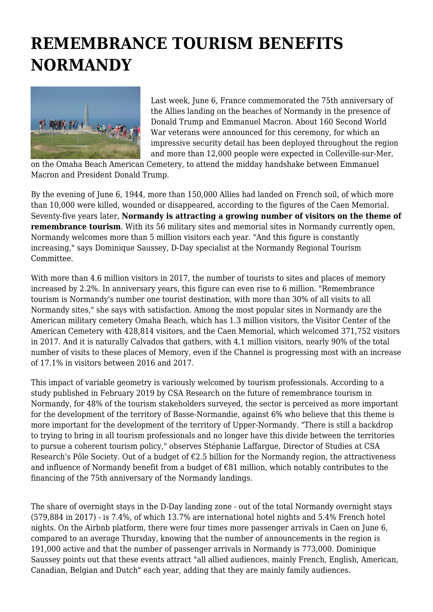## **REMEMBRANCE TOURISM BENEFITS NORMANDY**



Last week, June 6, France commemorated the 75th anniversary of the Allies landing on the beaches of Normandy in the presence of Donald Trump and Emmanuel Macron. About 160 Second World War veterans were announced for this ceremony, for which an impressive security detail has been deployed throughout the region and more than 12,000 people were expected in Colleville-sur-Mer,

on the Omaha Beach American Cemetery, to attend the midday handshake between Emmanuel Macron and President Donald Trump.

By the evening of June 6, 1944, more than 150,000 Allies had landed on French soil, of which more than 10,000 were killed, wounded or disappeared, according to the figures of the Caen Memorial. Seventy-five years later, **Normandy is attracting a growing number of visitors on the theme of remembrance tourism**. With its 56 military sites and memorial sites in Normandy currently open, Normandy welcomes more than 5 million visitors each year. "And this figure is constantly increasing," says Dominique Saussey, D-Day specialist at the Normandy Regional Tourism Committee.

With more than 4.6 million visitors in 2017, the number of tourists to sites and places of memory increased by 2.2%. In anniversary years, this figure can even rise to 6 million. "Remembrance tourism is Normandy's number one tourist destination, with more than 30% of all visits to all Normandy sites," she says with satisfaction. Among the most popular sites in Normandy are the American military cemetery Omaha Beach, which has 1.3 million visitors, the Visitor Center of the American Cemetery with 428,814 visitors, and the Caen Memorial, which welcomed 371,752 visitors in 2017. And it is naturally Calvados that gathers, with 4.1 million visitors, nearly 90% of the total number of visits to these places of Memory, even if the Channel is progressing most with an increase of 17.1% in visitors between 2016 and 2017.

This impact of variable geometry is variously welcomed by tourism professionals. According to a study published in February 2019 by CSA Research on the future of remembrance tourism in Normandy, for 48% of the tourism stakeholders surveyed, the sector is perceived as more important for the development of the territory of Basse-Normandie, against 6% who believe that this theme is more important for the development of the territory of Upper-Normandy. "There is still a backdrop to trying to bring in all tourism professionals and no longer have this divide between the territories to pursue a coherent tourism policy," observes Stéphanie Laffargue, Director of Studies at CSA Research's Pôle Society. Out of a budget of  $\epsilon$ 2.5 billion for the Normandy region, the attractiveness and influence of Normandy benefit from a budget of €81 million, which notably contributes to the financing of the 75th anniversary of the Normandy landings.

The share of overnight stays in the D-Day landing zone - out of the total Normandy overnight stays (579,884 in 2017) - is 7.4%, of which 13.7% are international hotel nights and 5.4% French hotel nights. On the Airbnb platform, there were four times more passenger arrivals in Caen on June 6, compared to an average Thursday, knowing that the number of announcements in the region is 191,000 active and that the number of passenger arrivals in Normandy is 773,000. Dominique Saussey points out that these events attract "all allied audiences, mainly French, English, American, Canadian, Belgian and Dutch" each year, adding that they are mainly family audiences.